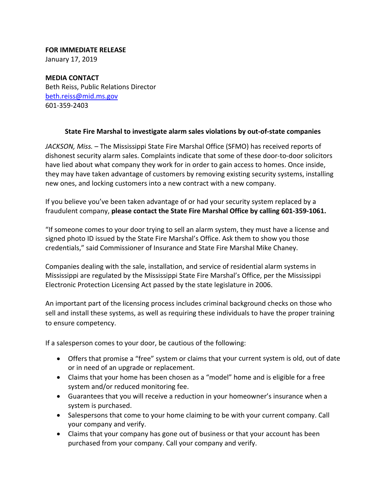## **FOR IMMEDIATE RELEASE**

January 17, 2019

**MEDIA CONTACT** Beth Reiss, Public Relations Director beth.reiss@mid.ms.gov 601‐359‐2403

## **State Fire Marshal to investigate alarm sales violations by out‐of‐state companies**

*JACKSON, Miss.* – The Mississippi State Fire Marshal Office (SFMO) has received reports of dishonest security alarm sales. Complaints indicate that some of these door‐to‐door solicitors have lied about what company they work for in order to gain access to homes. Once inside, they may have taken advantage of customers by removing existing security systems, installing new ones, and locking customers into a new contract with a new company.

If you believe you've been taken advantage of or had your security system replaced by a fraudulent company, **please contact the State Fire Marshal Office by calling 601‐359‐1061.**

"If someone comes to your door trying to sell an alarm system, they must have a license and signed photo ID issued by the State Fire Marshal's Office. Ask them to show you those credentials," said Commissioner of Insurance and State Fire Marshal Mike Chaney.

Companies dealing with the sale, installation, and service of residential alarm systems in Mississippi are regulated by the Mississippi State Fire Marshal's Office, per the Mississippi Electronic Protection Licensing Act passed by the state legislature in 2006.

An important part of the licensing process includes criminal background checks on those who sell and install these systems, as well as requiring these individuals to have the proper training to ensure competency.

If a salesperson comes to your door, be cautious of the following:

- Offers that promise a "free" system or claims that your current system is old, out of date or in need of an upgrade or replacement.
- Claims that your home has been chosen as a "model" home and is eligible for a free system and/or reduced monitoring fee.
- Guarantees that you will receive a reduction in your homeowner's insurance when a system is purchased.
- Salespersons that come to your home claiming to be with your current company. Call your company and verify.
- Claims that your company has gone out of business or that your account has been purchased from your company. Call your company and verify.